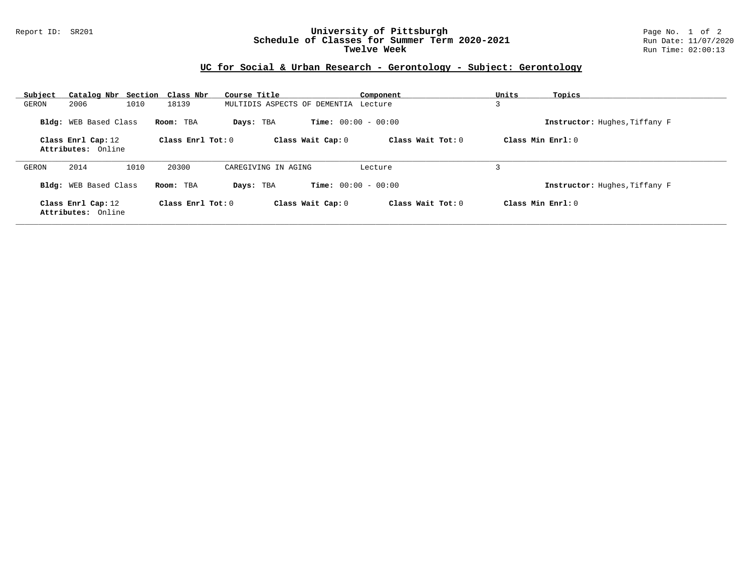## Report ID: SR201 **University of Pittsburgh** Page No. 1 of 2 **Schedule of Classes for Summer Term 2020-2021** Run Date: 11/07/2020 **Twelve Week** Run Time: 02:00:13

## **UC for Social & Urban Research - Gerontology - Subject: Gerontology**

| Catalog Nbr Section Class Nbr<br>Subject |                     | Course Title                              | Component         | Units<br>Topics               |
|------------------------------------------|---------------------|-------------------------------------------|-------------------|-------------------------------|
| 2006<br>1010<br>GERON                    | 18139               | MULTIDIS ASPECTS OF DEMENTIA Lecture      |                   | 3                             |
| Bldg: WEB Based Class                    | Room: TBA           | <b>Time:</b> $00:00 - 00:00$<br>Days: TBA |                   | Instructor: Hughes, Tiffany F |
| Class Enrl Cap: 12                       | Class Enrl Tot: $0$ | Class Wait Cap: 0                         | Class Wait Tot: 0 | Class Min Enrl: 0             |
| Attributes: Online                       |                     |                                           |                   |                               |
| 2014<br>1010<br>GERON                    | 20300               | CAREGIVING IN AGING                       | Lecture           | 3                             |
| Bldg: WEB Based Class                    | Room: TBA           | <b>Time:</b> $00:00 - 00:00$<br>Days: TBA |                   | Instructor: Hughes, Tiffany F |
| Class Enrl Cap: 12<br>Attributes: Online | Class Enrl Tot: $0$ | Class Wait Cap: 0                         | Class Wait Tot: 0 | Class Min Enrl: 0             |
|                                          |                     |                                           |                   |                               |